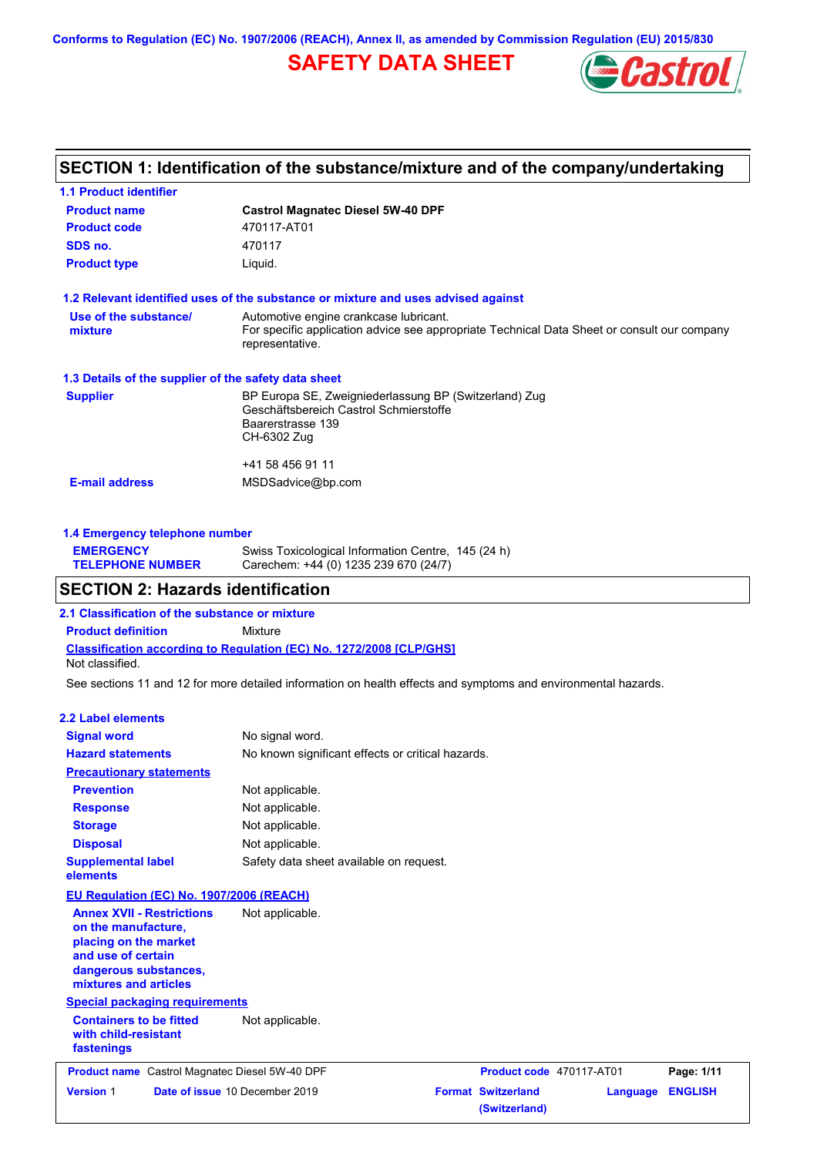**Conforms to Regulation (EC) No. 1907/2006 (REACH), Annex II, as amended by Commission Regulation (EU) 2015/830**

# **SAFETY DATA SHEET**



# **SECTION 1: Identification of the substance/mixture and of the company/undertaking**

| <b>1.1 Product identifier</b>                        |                                                                                                                                                          |
|------------------------------------------------------|----------------------------------------------------------------------------------------------------------------------------------------------------------|
| <b>Product name</b>                                  | <b>Castrol Magnatec Diesel 5W-40 DPF</b>                                                                                                                 |
| <b>Product code</b>                                  | 470117-AT01                                                                                                                                              |
| SDS no.                                              | 470117                                                                                                                                                   |
| <b>Product type</b>                                  | Liquid.                                                                                                                                                  |
|                                                      | 1.2 Relevant identified uses of the substance or mixture and uses advised against                                                                        |
| Use of the substance/<br>mixture                     | Automotive engine crankcase lubricant.<br>For specific application advice see appropriate Technical Data Sheet or consult our company<br>representative. |
| 1.3 Details of the supplier of the safety data sheet |                                                                                                                                                          |
| <b>Supplier</b>                                      | BP Europa SE, Zweigniederlassung BP (Switzerland) Zug<br>Geschäftsbereich Castrol Schmierstoffe<br>Baarerstrasse 139<br>CH-6302 Zug                      |
|                                                      | +41 58 456 91 11                                                                                                                                         |
| <b>E-mail address</b>                                | MSDSadvice@bp.com                                                                                                                                        |
|                                                      |                                                                                                                                                          |

| 1.4 Emergency telephone number |                                                    |
|--------------------------------|----------------------------------------------------|
| <b>EMERGENCY</b>               | Swiss Toxicological Information Centre, 145 (24 h) |
| <b>TELEPHONE NUMBER</b>        | Carechem: +44 (0) 1235 239 670 (24/7)              |

### **SECTION 2: Hazards identification**

**Classification according to Regulation (EC) No. 1272/2008 [CLP/GHS] 2.1 Classification of the substance or mixture Product definition** Mixture Not classified.

See sections 11 and 12 for more detailed information on health effects and symptoms and environmental hazards.

### **2.2 Label elements**

| <b>Signal word</b>                                                                                                                                       | No signal word.                                   |                                            |          |                |
|----------------------------------------------------------------------------------------------------------------------------------------------------------|---------------------------------------------------|--------------------------------------------|----------|----------------|
| <b>Hazard statements</b>                                                                                                                                 | No known significant effects or critical hazards. |                                            |          |                |
| <b>Precautionary statements</b>                                                                                                                          |                                                   |                                            |          |                |
| <b>Prevention</b>                                                                                                                                        | Not applicable.                                   |                                            |          |                |
| <b>Response</b>                                                                                                                                          | Not applicable.                                   |                                            |          |                |
| <b>Storage</b>                                                                                                                                           | Not applicable.                                   |                                            |          |                |
| <b>Disposal</b>                                                                                                                                          | Not applicable.                                   |                                            |          |                |
| <b>Supplemental label</b><br>elements                                                                                                                    | Safety data sheet available on request.           |                                            |          |                |
| <b>EU Regulation (EC) No. 1907/2006 (REACH)</b>                                                                                                          |                                                   |                                            |          |                |
| <b>Annex XVII - Restrictions</b><br>on the manufacture,<br>placing on the market<br>and use of certain<br>dangerous substances,<br>mixtures and articles | Not applicable.                                   |                                            |          |                |
| <b>Special packaging requirements</b>                                                                                                                    |                                                   |                                            |          |                |
| <b>Containers to be fitted</b><br>with child-resistant<br>fastenings                                                                                     | Not applicable.                                   |                                            |          |                |
| Product name Castrol Magnatec Diesel 5W-40 DPF                                                                                                           |                                                   | Product code 470117-AT01                   |          | Page: 1/11     |
| <b>Version 1</b><br>Date of issue 10 December 2019                                                                                                       |                                                   | <b>Format Switzerland</b><br>(Switzerland) | Language | <b>ENGLISH</b> |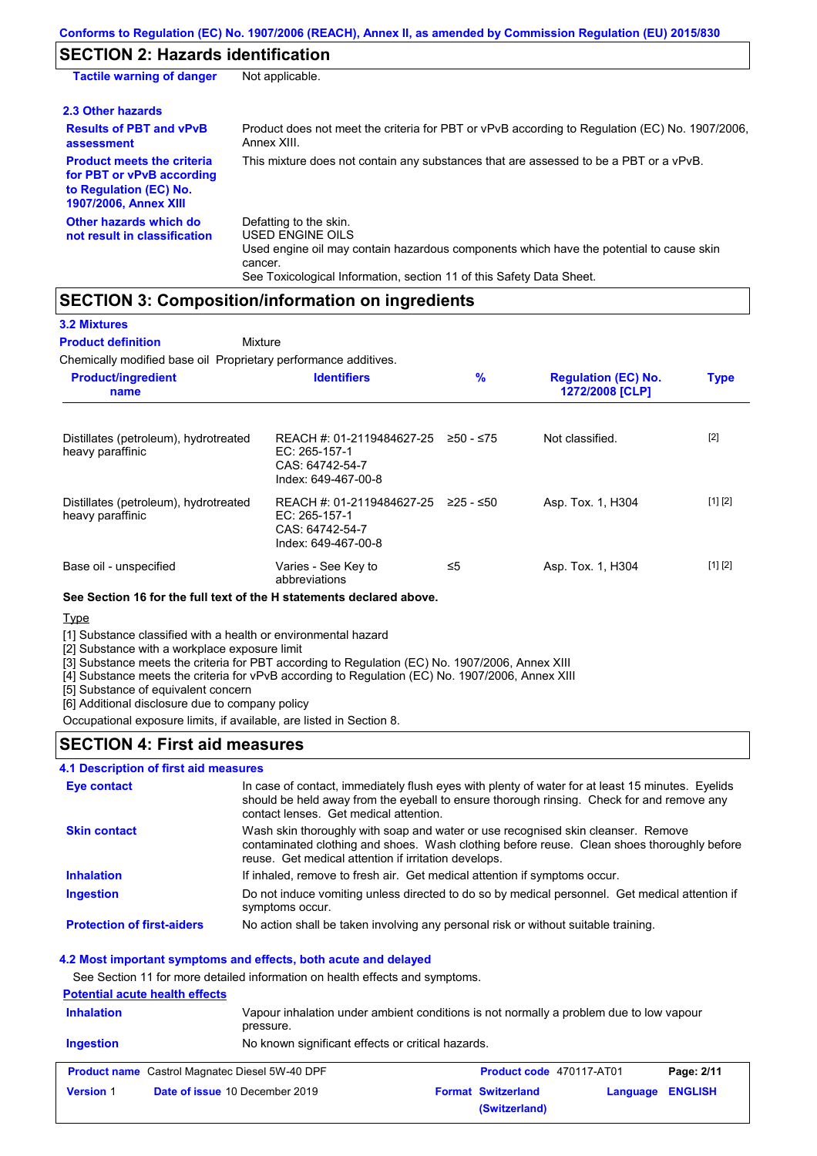# **SECTION 2: Hazards identification**

| <b>Tactile warning of danger</b>                                                                                         | Not applicable.                                                                                                                                                                                                                 |
|--------------------------------------------------------------------------------------------------------------------------|---------------------------------------------------------------------------------------------------------------------------------------------------------------------------------------------------------------------------------|
| 2.3 Other hazards                                                                                                        |                                                                                                                                                                                                                                 |
| <b>Results of PBT and vPvB</b><br>assessment                                                                             | Product does not meet the criteria for PBT or vPvB according to Regulation (EC) No. 1907/2006,<br>Annex XIII.                                                                                                                   |
| <b>Product meets the criteria</b><br>for PBT or vPvB according<br>to Regulation (EC) No.<br><b>1907/2006, Annex XIII</b> | This mixture does not contain any substances that are assessed to be a PBT or a vPvB.                                                                                                                                           |
| Other hazards which do<br>not result in classification                                                                   | Defatting to the skin.<br><b>USED ENGINE OILS</b><br>Used engine oil may contain hazardous components which have the potential to cause skin<br>cancer.<br>See Toxicological Information, section 11 of this Safety Data Sheet. |

### **SECTION 3: Composition/information on ingredients**

| <b>3.2 Mixtures</b>                                             |                                                                                      |               |                                               |             |
|-----------------------------------------------------------------|--------------------------------------------------------------------------------------|---------------|-----------------------------------------------|-------------|
| <b>Product definition</b>                                       | Mixture                                                                              |               |                                               |             |
| Chemically modified base oil Proprietary performance additives. |                                                                                      |               |                                               |             |
| <b>Product/ingredient</b><br>name                               | <b>Identifiers</b>                                                                   | $\frac{9}{6}$ | <b>Regulation (EC) No.</b><br>1272/2008 [CLP] | <b>Type</b> |
| Distillates (petroleum), hydrotreated<br>heavy paraffinic       | REACH #: 01-2119484627-25<br>EC: 265-157-1<br>CAS: 64742-54-7<br>Index: 649-467-00-8 | ≥50 - ≤75     | Not classified.                               | $[2]$       |
| Distillates (petroleum), hydrotreated<br>heavy paraffinic       | REACH #: 01-2119484627-25<br>EC: 265-157-1<br>CAS: 64742-54-7<br>Index: 649-467-00-8 | $≥25 - ≤50$   | Asp. Tox. 1, H304                             | [1] [2]     |
| Base oil - unspecified                                          | Varies - See Key to<br>abbreviations                                                 | ≤5            | Asp. Tox. 1, H304                             | [1] [2]     |

### **See Section 16 for the full text of the H statements declared above.**

**Type** 

[1] Substance classified with a health or environmental hazard

[2] Substance with a workplace exposure limit

[3] Substance meets the criteria for PBT according to Regulation (EC) No. 1907/2006, Annex XIII

[4] Substance meets the criteria for vPvB according to Regulation (EC) No. 1907/2006, Annex XIII

[5] Substance of equivalent concern

[6] Additional disclosure due to company policy

Occupational exposure limits, if available, are listed in Section 8.

### **SECTION 4: First aid measures**

### **4.1 Description of first aid measures**

| Eye contact                       | In case of contact, immediately flush eyes with plenty of water for at least 15 minutes. Eyelids<br>should be held away from the eyeball to ensure thorough rinsing. Check for and remove any<br>contact lenses. Get medical attention. |
|-----------------------------------|-----------------------------------------------------------------------------------------------------------------------------------------------------------------------------------------------------------------------------------------|
| <b>Skin contact</b>               | Wash skin thoroughly with soap and water or use recognised skin cleanser. Remove<br>contaminated clothing and shoes. Wash clothing before reuse. Clean shoes thoroughly before<br>reuse. Get medical attention if irritation develops.  |
| <b>Inhalation</b>                 | If inhaled, remove to fresh air. Get medical attention if symptoms occur.                                                                                                                                                               |
| <b>Ingestion</b>                  | Do not induce vomiting unless directed to do so by medical personnel. Get medical attention if<br>symptoms occur.                                                                                                                       |
| <b>Protection of first-aiders</b> | No action shall be taken involving any personal risk or without suitable training.                                                                                                                                                      |

#### **4.2 Most important symptoms and effects, both acute and delayed**

See Section 11 for more detailed information on health effects and symptoms.

#### **Potential acute health effects**

| <b>Inhalation</b> | Vapour inhalation under ambient conditions is not normally a problem due to low vapour<br>pressure. |                           |          |                |
|-------------------|-----------------------------------------------------------------------------------------------------|---------------------------|----------|----------------|
| <b>Ingestion</b>  | No known significant effects or critical hazards.                                                   |                           |          |                |
|                   | <b>Product name</b> Castrol Magnatec Diesel 5W-40 DPF                                               | Product code 470117-AT01  |          | Page: 2/11     |
| <b>Version 1</b>  | Date of issue 10 December 2019                                                                      | <b>Format Switzerland</b> | Language | <b>ENGLISH</b> |

**(Switzerland)**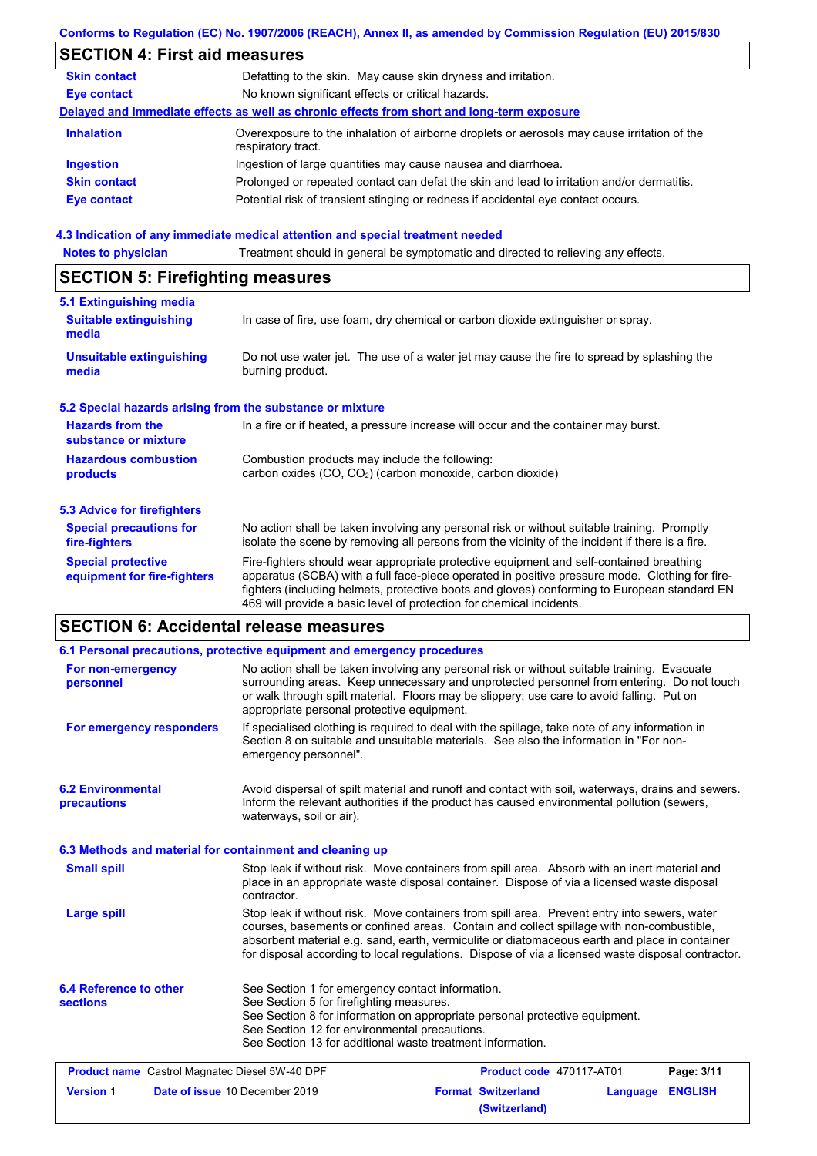|                                                           | Conforms to Regulation (EC) No. 1907/2006 (REACH), Annex II, as amended by Commission Regulation (EU) 2015/830                                                                                                                                                                                                                                                    |
|-----------------------------------------------------------|-------------------------------------------------------------------------------------------------------------------------------------------------------------------------------------------------------------------------------------------------------------------------------------------------------------------------------------------------------------------|
| <b>SECTION 4: First aid measures</b>                      |                                                                                                                                                                                                                                                                                                                                                                   |
| <b>Skin contact</b>                                       | Defatting to the skin. May cause skin dryness and irritation.                                                                                                                                                                                                                                                                                                     |
| <b>Eye contact</b>                                        | No known significant effects or critical hazards.                                                                                                                                                                                                                                                                                                                 |
|                                                           | Delayed and immediate effects as well as chronic effects from short and long-term exposure                                                                                                                                                                                                                                                                        |
| <b>Inhalation</b>                                         | Overexposure to the inhalation of airborne droplets or aerosols may cause irritation of the<br>respiratory tract.                                                                                                                                                                                                                                                 |
| <b>Ingestion</b>                                          | Ingestion of large quantities may cause nausea and diarrhoea.                                                                                                                                                                                                                                                                                                     |
| <b>Skin contact</b>                                       | Prolonged or repeated contact can defat the skin and lead to irritation and/or dermatitis.                                                                                                                                                                                                                                                                        |
| <b>Eye contact</b>                                        | Potential risk of transient stinging or redness if accidental eye contact occurs.                                                                                                                                                                                                                                                                                 |
|                                                           | 4.3 Indication of any immediate medical attention and special treatment needed                                                                                                                                                                                                                                                                                    |
| <b>Notes to physician</b>                                 | Treatment should in general be symptomatic and directed to relieving any effects.                                                                                                                                                                                                                                                                                 |
| <b>SECTION 5: Firefighting measures</b>                   |                                                                                                                                                                                                                                                                                                                                                                   |
| 5.1 Extinguishing media                                   |                                                                                                                                                                                                                                                                                                                                                                   |
| <b>Suitable extinguishing</b><br>media                    | In case of fire, use foam, dry chemical or carbon dioxide extinguisher or spray.                                                                                                                                                                                                                                                                                  |
| <b>Unsuitable extinguishing</b><br>media                  | Do not use water jet. The use of a water jet may cause the fire to spread by splashing the<br>burning product.                                                                                                                                                                                                                                                    |
| 5.2 Special hazards arising from the substance or mixture |                                                                                                                                                                                                                                                                                                                                                                   |
| <b>Hazards from the</b><br>substance or mixture           | In a fire or if heated, a pressure increase will occur and the container may burst.                                                                                                                                                                                                                                                                               |
| <b>Hazardous combustion</b><br>products                   | Combustion products may include the following:<br>carbon oxides (CO, CO2) (carbon monoxide, carbon dioxide)                                                                                                                                                                                                                                                       |
| 5.3 Advice for firefighters                               |                                                                                                                                                                                                                                                                                                                                                                   |
| <b>Special precautions for</b><br>fire-fighters           | No action shall be taken involving any personal risk or without suitable training. Promptly<br>isolate the scene by removing all persons from the vicinity of the incident if there is a fire.                                                                                                                                                                    |
| <b>Special protective</b><br>equipment for fire-fighters  | Fire-fighters should wear appropriate protective equipment and self-contained breathing<br>apparatus (SCBA) with a full face-piece operated in positive pressure mode. Clothing for fire-<br>fighters (including helmets, protective boots and gloves) conforming to European standard EN<br>469 will provide a basic level of protection for chemical incidents. |
| <b>SECTION 6: Accidental release measures</b>             |                                                                                                                                                                                                                                                                                                                                                                   |
|                                                           | 6.1 Personal precautions, protective equipment and emergency procedures                                                                                                                                                                                                                                                                                           |

| For non-emergency<br>personnel                           | No action shall be taken involving any personal risk or without suitable training. Evacuate<br>surrounding areas. Keep unnecessary and unprotected personnel from entering. Do not touch<br>or walk through spilt material. Floors may be slippery; use care to avoid falling. Put on<br>appropriate personal protective equipment.                                                            |                                            |          |                |
|----------------------------------------------------------|------------------------------------------------------------------------------------------------------------------------------------------------------------------------------------------------------------------------------------------------------------------------------------------------------------------------------------------------------------------------------------------------|--------------------------------------------|----------|----------------|
| For emergency responders                                 | If specialised clothing is required to deal with the spillage, take note of any information in<br>Section 8 on suitable and unsuitable materials. See also the information in "For non-<br>emergency personnel".                                                                                                                                                                               |                                            |          |                |
| <b>6.2 Environmental</b><br>precautions                  | Avoid dispersal of spilt material and runoff and contact with soil, waterways, drains and sewers.<br>Inform the relevant authorities if the product has caused environmental pollution (sewers,<br>waterways, soil or air).                                                                                                                                                                    |                                            |          |                |
| 6.3 Methods and material for containment and cleaning up |                                                                                                                                                                                                                                                                                                                                                                                                |                                            |          |                |
| <b>Small spill</b>                                       | Stop leak if without risk. Move containers from spill area. Absorb with an inert material and<br>place in an appropriate waste disposal container. Dispose of via a licensed waste disposal<br>contractor.                                                                                                                                                                                     |                                            |          |                |
| <b>Large spill</b>                                       | Stop leak if without risk. Move containers from spill area. Prevent entry into sewers, water<br>courses, basements or confined areas. Contain and collect spillage with non-combustible,<br>absorbent material e.g. sand, earth, vermiculite or diatomaceous earth and place in container<br>for disposal according to local regulations. Dispose of via a licensed waste disposal contractor. |                                            |          |                |
| 6.4 Reference to other<br><b>sections</b>                | See Section 1 for emergency contact information.<br>See Section 5 for firefighting measures.<br>See Section 8 for information on appropriate personal protective equipment.<br>See Section 12 for environmental precautions.<br>See Section 13 for additional waste treatment information.                                                                                                     |                                            |          |                |
| <b>Product name</b> Castrol Magnatec Diesel 5W-40 DPF    |                                                                                                                                                                                                                                                                                                                                                                                                | Product code 470117-AT01                   |          | Page: 3/11     |
| <b>Version 1</b>                                         | Date of issue 10 December 2019                                                                                                                                                                                                                                                                                                                                                                 | <b>Format Switzerland</b><br>(Switzerland) | Language | <b>ENGLISH</b> |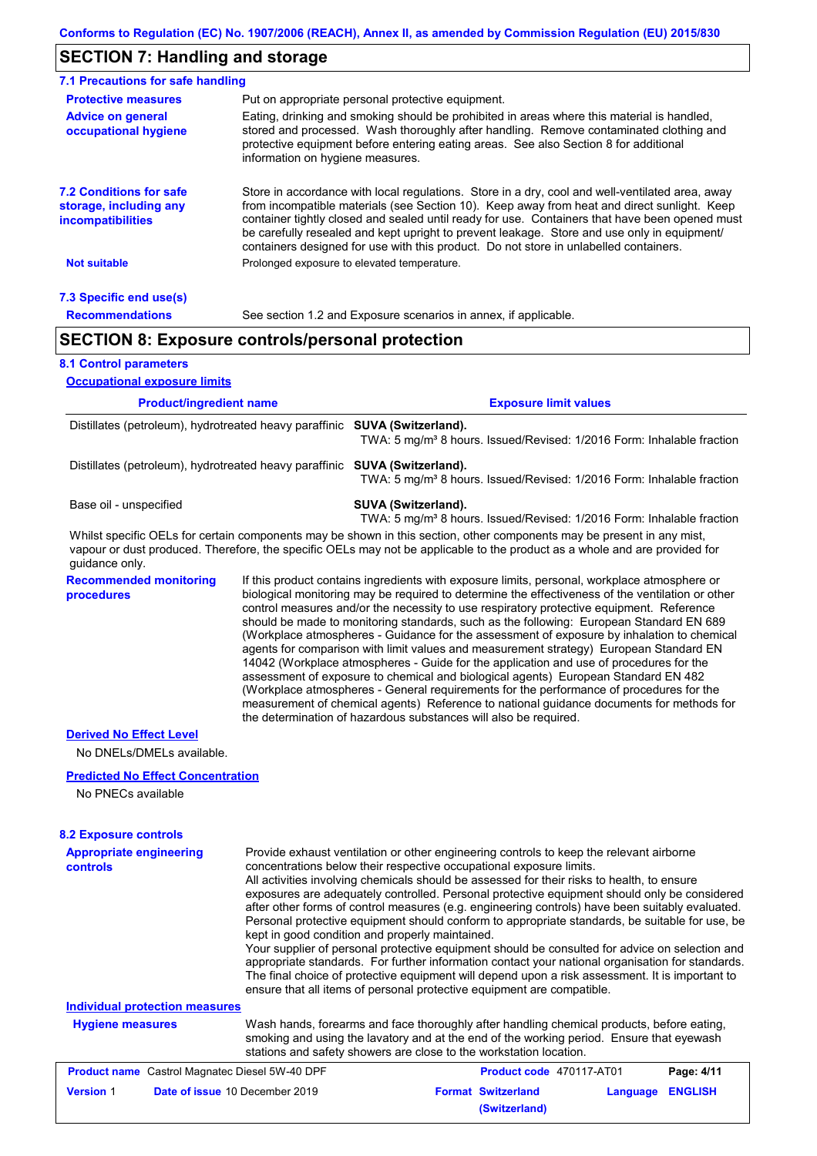### **SECTION 7: Handling and storage**

| 7.1 Precautions for safe handling                                             |                                  |                                                                                                                                                                                                                                                                                                                                                                                                                                                                                                                                                                                                                                                                                                                                                                                                                                                                                                                                                                                                                            |
|-------------------------------------------------------------------------------|----------------------------------|----------------------------------------------------------------------------------------------------------------------------------------------------------------------------------------------------------------------------------------------------------------------------------------------------------------------------------------------------------------------------------------------------------------------------------------------------------------------------------------------------------------------------------------------------------------------------------------------------------------------------------------------------------------------------------------------------------------------------------------------------------------------------------------------------------------------------------------------------------------------------------------------------------------------------------------------------------------------------------------------------------------------------|
| <b>Protective measures</b>                                                    |                                  | Put on appropriate personal protective equipment.                                                                                                                                                                                                                                                                                                                                                                                                                                                                                                                                                                                                                                                                                                                                                                                                                                                                                                                                                                          |
| <b>Advice on general</b><br>occupational hygiene                              | information on hygiene measures. | Eating, drinking and smoking should be prohibited in areas where this material is handled,<br>stored and processed. Wash thoroughly after handling. Remove contaminated clothing and<br>protective equipment before entering eating areas. See also Section 8 for additional                                                                                                                                                                                                                                                                                                                                                                                                                                                                                                                                                                                                                                                                                                                                               |
| <b>7.2 Conditions for safe</b><br>storage, including any<br>incompatibilities |                                  | Store in accordance with local regulations. Store in a dry, cool and well-ventilated area, away<br>from incompatible materials (see Section 10). Keep away from heat and direct sunlight. Keep<br>container tightly closed and sealed until ready for use. Containers that have been opened must<br>be carefully resealed and kept upright to prevent leakage. Store and use only in equipment/<br>containers designed for use with this product. Do not store in unlabelled containers.                                                                                                                                                                                                                                                                                                                                                                                                                                                                                                                                   |
| <b>Not suitable</b>                                                           |                                  | Prolonged exposure to elevated temperature.                                                                                                                                                                                                                                                                                                                                                                                                                                                                                                                                                                                                                                                                                                                                                                                                                                                                                                                                                                                |
| 7.3 Specific end use(s)                                                       |                                  |                                                                                                                                                                                                                                                                                                                                                                                                                                                                                                                                                                                                                                                                                                                                                                                                                                                                                                                                                                                                                            |
| <b>Recommendations</b>                                                        |                                  | See section 1.2 and Exposure scenarios in annex, if applicable.                                                                                                                                                                                                                                                                                                                                                                                                                                                                                                                                                                                                                                                                                                                                                                                                                                                                                                                                                            |
| <b>SECTION 8: Exposure controls/personal protection</b>                       |                                  |                                                                                                                                                                                                                                                                                                                                                                                                                                                                                                                                                                                                                                                                                                                                                                                                                                                                                                                                                                                                                            |
| <b>8.1 Control parameters</b>                                                 |                                  |                                                                                                                                                                                                                                                                                                                                                                                                                                                                                                                                                                                                                                                                                                                                                                                                                                                                                                                                                                                                                            |
| <b>Occupational exposure limits</b>                                           |                                  |                                                                                                                                                                                                                                                                                                                                                                                                                                                                                                                                                                                                                                                                                                                                                                                                                                                                                                                                                                                                                            |
| <b>Product/ingredient name</b>                                                |                                  | <b>Exposure limit values</b>                                                                                                                                                                                                                                                                                                                                                                                                                                                                                                                                                                                                                                                                                                                                                                                                                                                                                                                                                                                               |
| Distillates (petroleum), hydrotreated heavy paraffinic SUVA (Switzerland).    |                                  | TWA: 5 mg/m <sup>3</sup> 8 hours. Issued/Revised: 1/2016 Form: Inhalable fraction                                                                                                                                                                                                                                                                                                                                                                                                                                                                                                                                                                                                                                                                                                                                                                                                                                                                                                                                          |
| Distillates (petroleum), hydrotreated heavy paraffinic SUVA (Switzerland).    |                                  | TWA: 5 mg/m <sup>3</sup> 8 hours. Issued/Revised: 1/2016 Form: Inhalable fraction                                                                                                                                                                                                                                                                                                                                                                                                                                                                                                                                                                                                                                                                                                                                                                                                                                                                                                                                          |
| Base oil - unspecified                                                        |                                  | SUVA (Switzerland).<br>TWA: 5 mg/m <sup>3</sup> 8 hours. Issued/Revised: 1/2016 Form: Inhalable fraction                                                                                                                                                                                                                                                                                                                                                                                                                                                                                                                                                                                                                                                                                                                                                                                                                                                                                                                   |
| guidance only.                                                                |                                  | Whilst specific OELs for certain components may be shown in this section, other components may be present in any mist,<br>vapour or dust produced. Therefore, the specific OELs may not be applicable to the product as a whole and are provided for                                                                                                                                                                                                                                                                                                                                                                                                                                                                                                                                                                                                                                                                                                                                                                       |
| <b>Recommended monitoring</b><br>procedures                                   |                                  | If this product contains ingredients with exposure limits, personal, workplace atmosphere or<br>biological monitoring may be required to determine the effectiveness of the ventilation or other<br>control measures and/or the necessity to use respiratory protective equipment. Reference<br>should be made to monitoring standards, such as the following: European Standard EN 689<br>(Workplace atmospheres - Guidance for the assessment of exposure by inhalation to chemical<br>agents for comparison with limit values and measurement strategy) European Standard EN<br>14042 (Workplace atmospheres - Guide for the application and use of procedures for the<br>assessment of exposure to chemical and biological agents) European Standard EN 482<br>(Workplace atmospheres - General requirements for the performance of procedures for the<br>measurement of chemical agents) Reference to national guidance documents for methods for<br>the determination of hazardous substances will also be required. |
| <b>Derived No Effect Level</b><br>No DNELs/DMELs available.                   |                                  |                                                                                                                                                                                                                                                                                                                                                                                                                                                                                                                                                                                                                                                                                                                                                                                                                                                                                                                                                                                                                            |
| <b>Predicted No Effect Concentration</b><br>No PNECs available                |                                  |                                                                                                                                                                                                                                                                                                                                                                                                                                                                                                                                                                                                                                                                                                                                                                                                                                                                                                                                                                                                                            |
| <b>8.2 Exposure controls</b>                                                  |                                  |                                                                                                                                                                                                                                                                                                                                                                                                                                                                                                                                                                                                                                                                                                                                                                                                                                                                                                                                                                                                                            |
| <b>Appropriate engineering</b><br>controls                                    |                                  | Provide exhaust ventilation or other engineering controls to keep the relevant airborne<br>concentrations below their respective occupational exposure limits.<br>All activities involving chemicals should be assessed for their risks to health, to ensure<br>exposures are adequately controlled. Personal protective equipment should only be considered<br>after other forms of control measures (e.g. engineering controls) have been suitably evaluated.<br>Personal protective equipment should conform to appropriate standards, be suitable for use, be<br>kept in good condition and properly maintained.<br>Your supplier of personal protective equipment should be consulted for advice on selection and<br>appropriate standards. For further information contact your national organisation for standards.<br>The final choice of protective equipment will depend upon a risk assessment. It is important to<br>ensure that all items of personal protective equipment are compatible.                    |
| <b>Individual protection measures</b>                                         |                                  |                                                                                                                                                                                                                                                                                                                                                                                                                                                                                                                                                                                                                                                                                                                                                                                                                                                                                                                                                                                                                            |

# **Hygiene measures**

Wash hands, forearms and face thoroughly after handling chemical products, before eating, smoking and using the lavatory and at the end of the working period. Ensure that eyewash stations and safety showers are close to the workstation location.

| <b>Product name</b> Castrol Magnatec Diesel 5W-40 DPF |                                | <b>Product code</b> 470117-AT01 |                           | Page: 4/11       |  |
|-------------------------------------------------------|--------------------------------|---------------------------------|---------------------------|------------------|--|
| <b>Version 1</b>                                      | Date of issue 10 December 2019 |                                 | <b>Format Switzerland</b> | Language ENGLISH |  |
|                                                       |                                |                                 | (Switzerland)             |                  |  |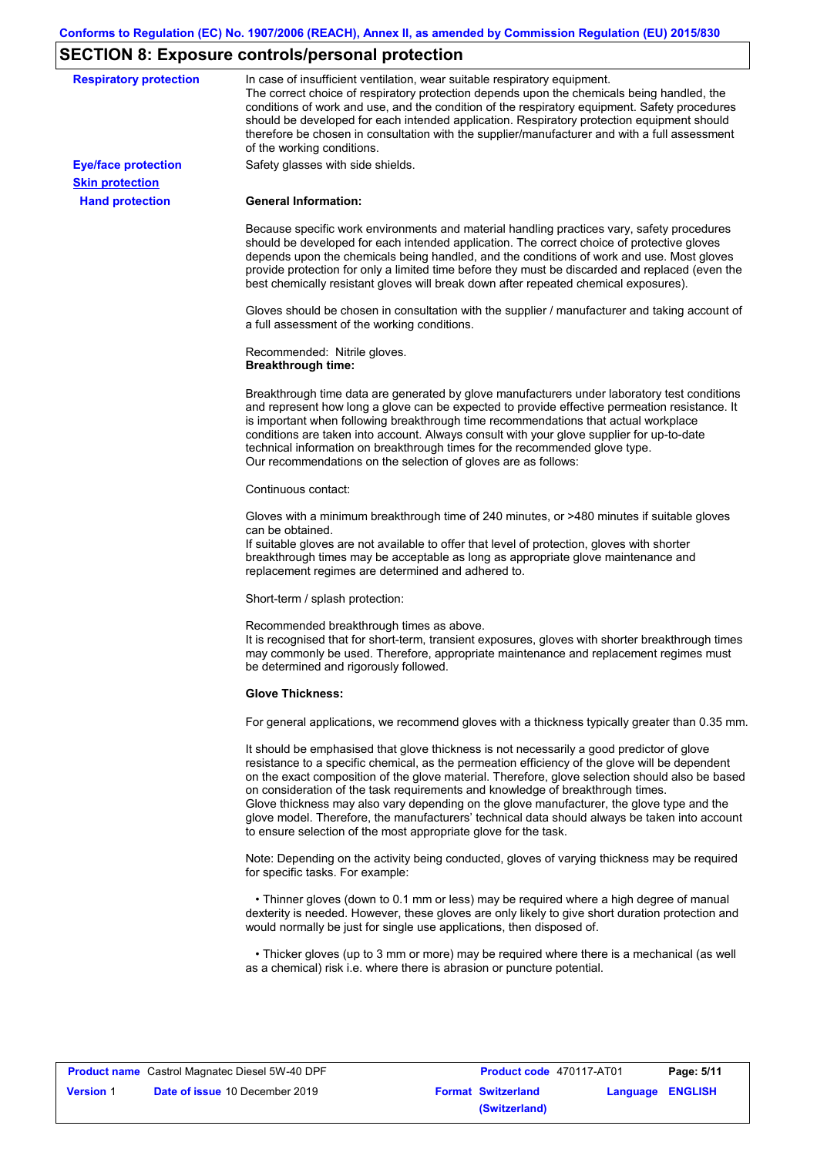# **SECTION 8: Exposure controls/personal protection**

| <b>Respiratory protection</b>                        | In case of insufficient ventilation, wear suitable respiratory equipment.<br>The correct choice of respiratory protection depends upon the chemicals being handled, the<br>conditions of work and use, and the condition of the respiratory equipment. Safety procedures<br>should be developed for each intended application. Respiratory protection equipment should<br>therefore be chosen in consultation with the supplier/manufacturer and with a full assessment<br>of the working conditions.                                                                                                                                             |
|------------------------------------------------------|---------------------------------------------------------------------------------------------------------------------------------------------------------------------------------------------------------------------------------------------------------------------------------------------------------------------------------------------------------------------------------------------------------------------------------------------------------------------------------------------------------------------------------------------------------------------------------------------------------------------------------------------------|
| <b>Eye/face protection</b><br><b>Skin protection</b> | Safety glasses with side shields.                                                                                                                                                                                                                                                                                                                                                                                                                                                                                                                                                                                                                 |
| <b>Hand protection</b>                               | <b>General Information:</b>                                                                                                                                                                                                                                                                                                                                                                                                                                                                                                                                                                                                                       |
|                                                      | Because specific work environments and material handling practices vary, safety procedures<br>should be developed for each intended application. The correct choice of protective gloves<br>depends upon the chemicals being handled, and the conditions of work and use. Most gloves<br>provide protection for only a limited time before they must be discarded and replaced (even the<br>best chemically resistant gloves will break down after repeated chemical exposures).                                                                                                                                                                  |
|                                                      | Gloves should be chosen in consultation with the supplier / manufacturer and taking account of<br>a full assessment of the working conditions.                                                                                                                                                                                                                                                                                                                                                                                                                                                                                                    |
|                                                      | Recommended: Nitrile gloves.<br><b>Breakthrough time:</b>                                                                                                                                                                                                                                                                                                                                                                                                                                                                                                                                                                                         |
|                                                      | Breakthrough time data are generated by glove manufacturers under laboratory test conditions<br>and represent how long a glove can be expected to provide effective permeation resistance. It<br>is important when following breakthrough time recommendations that actual workplace<br>conditions are taken into account. Always consult with your glove supplier for up-to-date<br>technical information on breakthrough times for the recommended glove type.<br>Our recommendations on the selection of gloves are as follows:                                                                                                                |
|                                                      | Continuous contact:                                                                                                                                                                                                                                                                                                                                                                                                                                                                                                                                                                                                                               |
|                                                      | Gloves with a minimum breakthrough time of 240 minutes, or >480 minutes if suitable gloves<br>can be obtained.<br>If suitable gloves are not available to offer that level of protection, gloves with shorter<br>breakthrough times may be acceptable as long as appropriate glove maintenance and<br>replacement regimes are determined and adhered to.                                                                                                                                                                                                                                                                                          |
|                                                      | Short-term / splash protection:                                                                                                                                                                                                                                                                                                                                                                                                                                                                                                                                                                                                                   |
|                                                      | Recommended breakthrough times as above.<br>It is recognised that for short-term, transient exposures, gloves with shorter breakthrough times<br>may commonly be used. Therefore, appropriate maintenance and replacement regimes must<br>be determined and rigorously followed.                                                                                                                                                                                                                                                                                                                                                                  |
|                                                      | <b>Glove Thickness:</b>                                                                                                                                                                                                                                                                                                                                                                                                                                                                                                                                                                                                                           |
|                                                      | For general applications, we recommend gloves with a thickness typically greater than 0.35 mm.                                                                                                                                                                                                                                                                                                                                                                                                                                                                                                                                                    |
|                                                      | It should be emphasised that glove thickness is not necessarily a good predictor of glove<br>resistance to a specific chemical, as the permeation efficiency of the glove will be dependent<br>on the exact composition of the glove material. Therefore, glove selection should also be based<br>on consideration of the task requirements and knowledge of breakthrough times.<br>Glove thickness may also vary depending on the glove manufacturer, the glove type and the<br>glove model. Therefore, the manufacturers' technical data should always be taken into account<br>to ensure selection of the most appropriate glove for the task. |
|                                                      | Note: Depending on the activity being conducted, gloves of varying thickness may be required<br>for specific tasks. For example:                                                                                                                                                                                                                                                                                                                                                                                                                                                                                                                  |
|                                                      | • Thinner gloves (down to 0.1 mm or less) may be required where a high degree of manual<br>dexterity is needed. However, these gloves are only likely to give short duration protection and<br>would normally be just for single use applications, then disposed of.                                                                                                                                                                                                                                                                                                                                                                              |
|                                                      | • Thicker gloves (up to 3 mm or more) may be required where there is a mechanical (as well<br>as a chemical) risk i.e. where there is abrasion or puncture potential.                                                                                                                                                                                                                                                                                                                                                                                                                                                                             |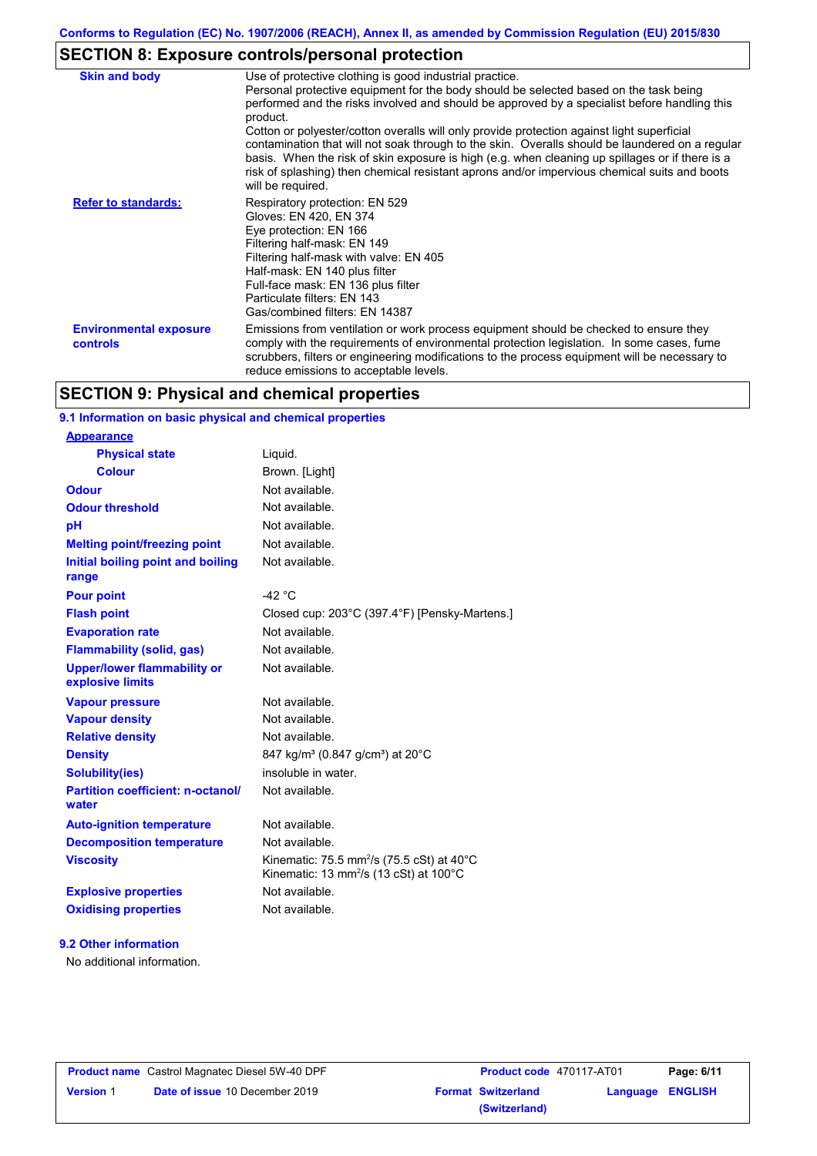# **SECTION 8: Exposure controls/personal protection**

| <b>Skin and body</b>                      | Use of protective clothing is good industrial practice.<br>Personal protective equipment for the body should be selected based on the task being<br>performed and the risks involved and should be approved by a specialist before handling this<br>product.<br>Cotton or polyester/cotton overalls will only provide protection against light superficial<br>contamination that will not soak through to the skin. Overalls should be laundered on a regular<br>basis. When the risk of skin exposure is high (e.g. when cleaning up spillages or if there is a<br>risk of splashing) then chemical resistant aprons and/or impervious chemical suits and boots<br>will be required. |
|-------------------------------------------|---------------------------------------------------------------------------------------------------------------------------------------------------------------------------------------------------------------------------------------------------------------------------------------------------------------------------------------------------------------------------------------------------------------------------------------------------------------------------------------------------------------------------------------------------------------------------------------------------------------------------------------------------------------------------------------|
| <b>Refer to standards:</b>                | Respiratory protection: EN 529<br>Gloves: EN 420, EN 374<br>Eye protection: EN 166<br>Filtering half-mask: EN 149<br>Filtering half-mask with valve: EN 405<br>Half-mask: EN 140 plus filter<br>Full-face mask: EN 136 plus filter<br>Particulate filters: EN 143<br>Gas/combined filters: EN 14387                                                                                                                                                                                                                                                                                                                                                                                   |
| <b>Environmental exposure</b><br>controls | Emissions from ventilation or work process equipment should be checked to ensure they<br>comply with the requirements of environmental protection legislation. In some cases, fume<br>scrubbers, filters or engineering modifications to the process equipment will be necessary to<br>reduce emissions to acceptable levels.                                                                                                                                                                                                                                                                                                                                                         |

## **SECTION 9: Physical and chemical properties**

### **9.1 Information on basic physical and chemical properties**

| <u>Appearance</u>                                      |                                                                                                                        |
|--------------------------------------------------------|------------------------------------------------------------------------------------------------------------------------|
| <b>Physical state</b>                                  | Liquid.                                                                                                                |
| <b>Colour</b>                                          | Brown. [Light]                                                                                                         |
| Odour                                                  | Not available.                                                                                                         |
| <b>Odour threshold</b>                                 | Not available.                                                                                                         |
| pH                                                     | Not available.                                                                                                         |
| <b>Melting point/freezing point</b>                    | Not available.                                                                                                         |
| Initial boiling point and boiling<br>range             | Not available.                                                                                                         |
| <b>Pour point</b>                                      | $-42$ °C                                                                                                               |
| <b>Flash point</b>                                     | Closed cup: 203°C (397.4°F) [Pensky-Martens.]                                                                          |
| <b>Evaporation rate</b>                                | Not available.                                                                                                         |
| <b>Flammability (solid, gas)</b>                       | Not available.                                                                                                         |
| <b>Upper/lower flammability or</b><br>explosive limits | Not available.                                                                                                         |
| <b>Vapour pressure</b>                                 | Not available.                                                                                                         |
| <b>Vapour density</b>                                  | Not available.                                                                                                         |
| <b>Relative density</b>                                | Not available.                                                                                                         |
| <b>Density</b>                                         | 847 kg/m <sup>3</sup> (0.847 g/cm <sup>3</sup> ) at 20°C                                                               |
| <b>Solubility(ies)</b>                                 | insoluble in water.                                                                                                    |
| <b>Partition coefficient: n-octanol/</b><br>water      | Not available.                                                                                                         |
| <b>Auto-ignition temperature</b>                       | Not available.                                                                                                         |
| <b>Decomposition temperature</b>                       | Not available.                                                                                                         |
| <b>Viscosity</b>                                       | Kinematic: 75.5 mm <sup>2</sup> /s (75.5 cSt) at 40 $^{\circ}$ C<br>Kinematic: 13 mm <sup>2</sup> /s (13 cSt) at 100°C |
| <b>Explosive properties</b>                            | Not available.                                                                                                         |
| <b>Oxidising properties</b>                            | Not available.                                                                                                         |
|                                                        |                                                                                                                        |

#### **9.2 Other information**

**Appearance**

No additional information.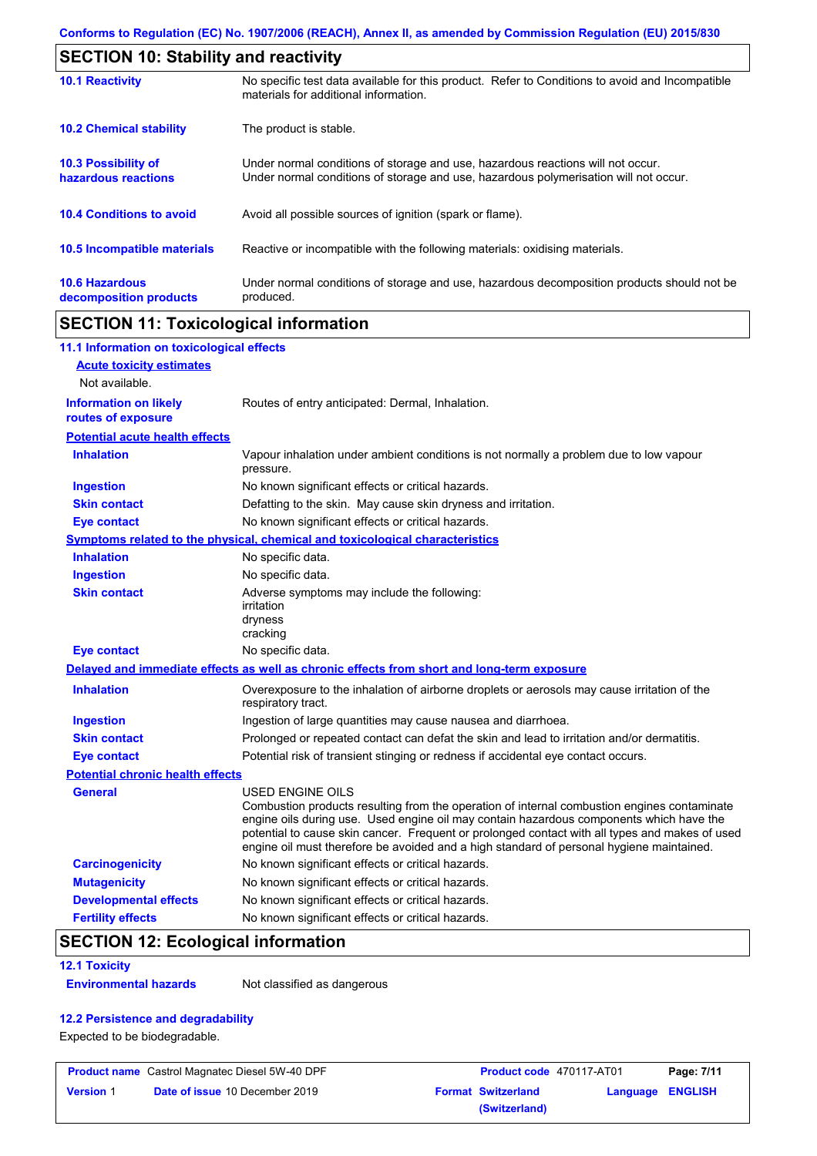| <b>SECTION 10: Stability and reactivity</b>     |                                                                                                                                                                         |  |  |
|-------------------------------------------------|-------------------------------------------------------------------------------------------------------------------------------------------------------------------------|--|--|
| <b>10.1 Reactivity</b>                          | No specific test data available for this product. Refer to Conditions to avoid and Incompatible<br>materials for additional information.                                |  |  |
| <b>10.2 Chemical stability</b>                  | The product is stable.                                                                                                                                                  |  |  |
| 10.3 Possibility of<br>hazardous reactions      | Under normal conditions of storage and use, hazardous reactions will not occur.<br>Under normal conditions of storage and use, hazardous polymerisation will not occur. |  |  |
| <b>10.4 Conditions to avoid</b>                 | Avoid all possible sources of ignition (spark or flame).                                                                                                                |  |  |
| 10.5 Incompatible materials                     | Reactive or incompatible with the following materials: oxidising materials.                                                                                             |  |  |
| <b>10.6 Hazardous</b><br>decomposition products | Under normal conditions of storage and use, hazardous decomposition products should not be<br>produced.                                                                 |  |  |

# **SECTION 11: Toxicological information**

| 11.1 Information on toxicological effects          |                                                                                                                                                                                                                                                                                                                                                                                                                 |
|----------------------------------------------------|-----------------------------------------------------------------------------------------------------------------------------------------------------------------------------------------------------------------------------------------------------------------------------------------------------------------------------------------------------------------------------------------------------------------|
| <b>Acute toxicity estimates</b>                    |                                                                                                                                                                                                                                                                                                                                                                                                                 |
| Not available.                                     |                                                                                                                                                                                                                                                                                                                                                                                                                 |
| <b>Information on likely</b><br>routes of exposure | Routes of entry anticipated: Dermal, Inhalation.                                                                                                                                                                                                                                                                                                                                                                |
| <b>Potential acute health effects</b>              |                                                                                                                                                                                                                                                                                                                                                                                                                 |
| <b>Inhalation</b>                                  | Vapour inhalation under ambient conditions is not normally a problem due to low vapour<br>pressure.                                                                                                                                                                                                                                                                                                             |
| <b>Ingestion</b>                                   | No known significant effects or critical hazards.                                                                                                                                                                                                                                                                                                                                                               |
| <b>Skin contact</b>                                | Defatting to the skin. May cause skin dryness and irritation.                                                                                                                                                                                                                                                                                                                                                   |
| <b>Eye contact</b>                                 | No known significant effects or critical hazards.                                                                                                                                                                                                                                                                                                                                                               |
|                                                    | <b>Symptoms related to the physical, chemical and toxicological characteristics</b>                                                                                                                                                                                                                                                                                                                             |
| <b>Inhalation</b>                                  | No specific data.                                                                                                                                                                                                                                                                                                                                                                                               |
| <b>Ingestion</b>                                   | No specific data.                                                                                                                                                                                                                                                                                                                                                                                               |
| <b>Skin contact</b>                                | Adverse symptoms may include the following:<br>irritation<br>dryness<br>cracking                                                                                                                                                                                                                                                                                                                                |
| <b>Eye contact</b>                                 | No specific data.                                                                                                                                                                                                                                                                                                                                                                                               |
|                                                    | Delayed and immediate effects as well as chronic effects from short and long-term exposure                                                                                                                                                                                                                                                                                                                      |
| <b>Inhalation</b>                                  | Overexposure to the inhalation of airborne droplets or aerosols may cause irritation of the<br>respiratory tract.                                                                                                                                                                                                                                                                                               |
| <b>Ingestion</b>                                   | Ingestion of large quantities may cause nausea and diarrhoea.                                                                                                                                                                                                                                                                                                                                                   |
| <b>Skin contact</b>                                | Prolonged or repeated contact can defat the skin and lead to irritation and/or dermatitis.                                                                                                                                                                                                                                                                                                                      |
| <b>Eye contact</b>                                 | Potential risk of transient stinging or redness if accidental eye contact occurs.                                                                                                                                                                                                                                                                                                                               |
| <b>Potential chronic health effects</b>            |                                                                                                                                                                                                                                                                                                                                                                                                                 |
| <b>General</b>                                     | <b>USED ENGINE OILS</b><br>Combustion products resulting from the operation of internal combustion engines contaminate<br>engine oils during use. Used engine oil may contain hazardous components which have the<br>potential to cause skin cancer. Frequent or prolonged contact with all types and makes of used<br>engine oil must therefore be avoided and a high standard of personal hygiene maintained. |
| <b>Carcinogenicity</b>                             | No known significant effects or critical hazards.                                                                                                                                                                                                                                                                                                                                                               |
| <b>Mutagenicity</b>                                | No known significant effects or critical hazards.                                                                                                                                                                                                                                                                                                                                                               |
| <b>Developmental effects</b>                       | No known significant effects or critical hazards.                                                                                                                                                                                                                                                                                                                                                               |
| <b>Fertility effects</b>                           | No known significant effects or critical hazards.                                                                                                                                                                                                                                                                                                                                                               |

# **SECTION 12: Ecological information**

#### **12.1 Toxicity**

**Environmental hazards** Not classified as dangerous

### **12.2 Persistence and degradability**

Expected to be biodegradable.

| <b>Product name</b> Castrol Magnatec Diesel 5W-40 DPF |                                       | <b>Product code</b> 470117-AT01 |                         | Page: 7/11 |
|-------------------------------------------------------|---------------------------------------|---------------------------------|-------------------------|------------|
| <b>Version 1</b>                                      | <b>Date of issue 10 December 2019</b> | <b>Format Switzerland</b>       | <b>Language ENGLISH</b> |            |
|                                                       |                                       | (Switzerland)                   |                         |            |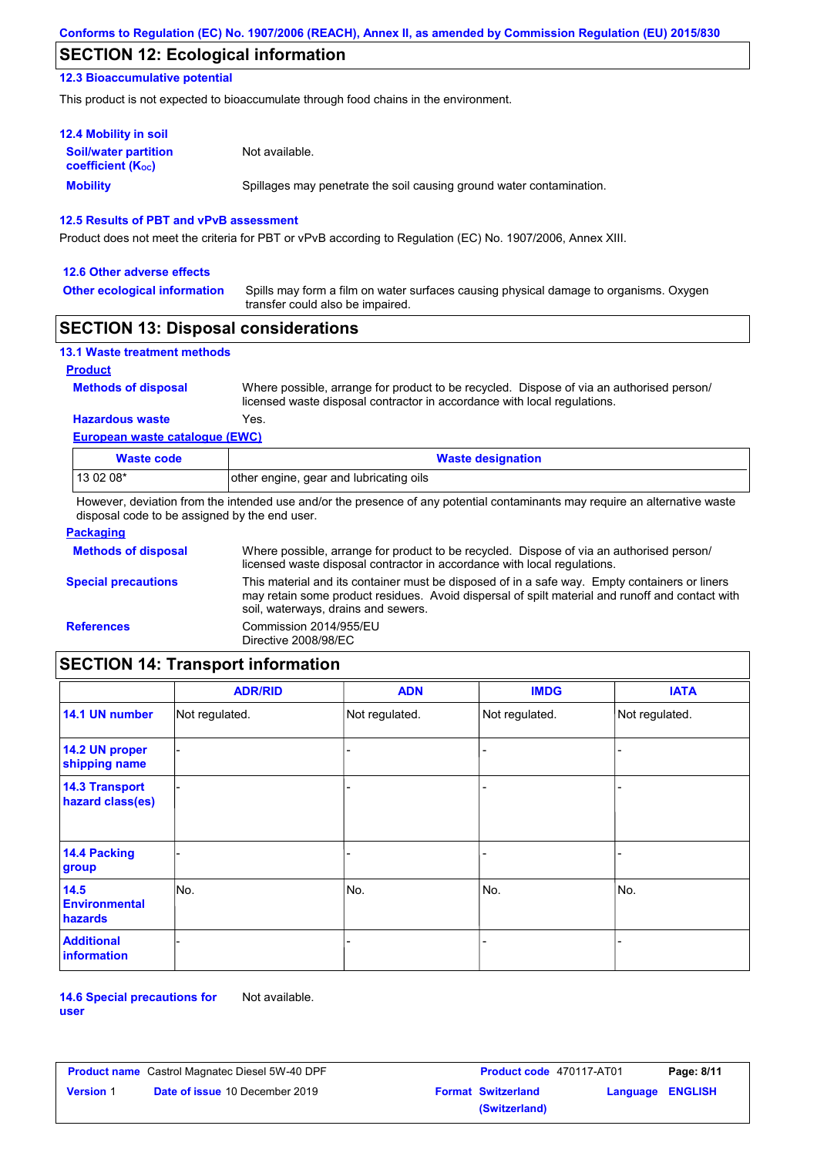# **SECTION 12: Ecological information**

### **12.3 Bioaccumulative potential**

This product is not expected to bioaccumulate through food chains in the environment.

| <b>12.4 Mobility in soil</b>                                  |                                                                      |
|---------------------------------------------------------------|----------------------------------------------------------------------|
| <b>Soil/water partition</b><br>coefficient (K <sub>oc</sub> ) | Not available.                                                       |
| <b>Mobility</b>                                               | Spillages may penetrate the soil causing ground water contamination. |

### **12.5 Results of PBT and vPvB assessment**

Product does not meet the criteria for PBT or vPvB according to Regulation (EC) No. 1907/2006, Annex XIII.

#### **12.6 Other adverse effects**

**Other ecological information**

Spills may form a film on water surfaces causing physical damage to organisms. Oxygen transfer could also be impaired.

### **SECTION 13: Disposal considerations**

| <b>13.1 Waste treatment methods</b> |                                                                                                                                                                      |
|-------------------------------------|----------------------------------------------------------------------------------------------------------------------------------------------------------------------|
| <b>Product</b>                      |                                                                                                                                                                      |
| <b>Methods of disposal</b>          | Where possible, arrange for product to be recycled. Dispose of via an authorised person/<br>licensed waste disposal contractor in accordance with local regulations. |
| <b>Hazardous waste</b>              | Yes.                                                                                                                                                                 |
| European waste catalogue (EWC)      |                                                                                                                                                                      |

| Waste code | <b>Waste designation</b>                |
|------------|-----------------------------------------|
| $1130208*$ | other engine, gear and lubricating oils |

However, deviation from the intended use and/or the presence of any potential contaminants may require an alternative waste disposal code to be assigned by the end user.

| <b>Packaging</b>           |                                                                                                                                                                                                                                         |
|----------------------------|-----------------------------------------------------------------------------------------------------------------------------------------------------------------------------------------------------------------------------------------|
| <b>Methods of disposal</b> | Where possible, arrange for product to be recycled. Dispose of via an authorised person/<br>licensed waste disposal contractor in accordance with local regulations.                                                                    |
| <b>Special precautions</b> | This material and its container must be disposed of in a safe way. Empty containers or liners<br>may retain some product residues. Avoid dispersal of spilt material and runoff and contact with<br>soil, waterways, drains and sewers. |
| <b>References</b>          | Commission 2014/955/EU<br>Directive 2008/98/EC                                                                                                                                                                                          |

# **SECTION 14: Transport information**

|                                           | <b>ADR/RID</b> | <b>ADN</b>     | <b>IMDG</b>    | <b>IATA</b>    |
|-------------------------------------------|----------------|----------------|----------------|----------------|
| 14.1 UN number                            | Not regulated. | Not regulated. | Not regulated. | Not regulated. |
| 14.2 UN proper<br>shipping name           |                |                | ۰              |                |
| <b>14.3 Transport</b><br>hazard class(es) |                |                | -              |                |
| 14.4 Packing<br>group                     |                |                | -              |                |
| 14.5<br><b>Environmental</b><br>hazards   | No.            | No.            | No.            | No.            |
| <b>Additional</b><br><b>information</b>   |                |                |                |                |

**14.6 Special precautions for user** Not available.

|                  | <b>Product name</b> Castrol Magnatec Diesel 5W-40 DPF | <b>Product code</b> 470117-AT01 |                  | Page: 8/11 |
|------------------|-------------------------------------------------------|---------------------------------|------------------|------------|
| <b>Version</b> 1 | <b>Date of issue 10 December 2019</b>                 | <b>Format Switzerland</b>       | Language ENGLISH |            |
|                  |                                                       | (Switzerland)                   |                  |            |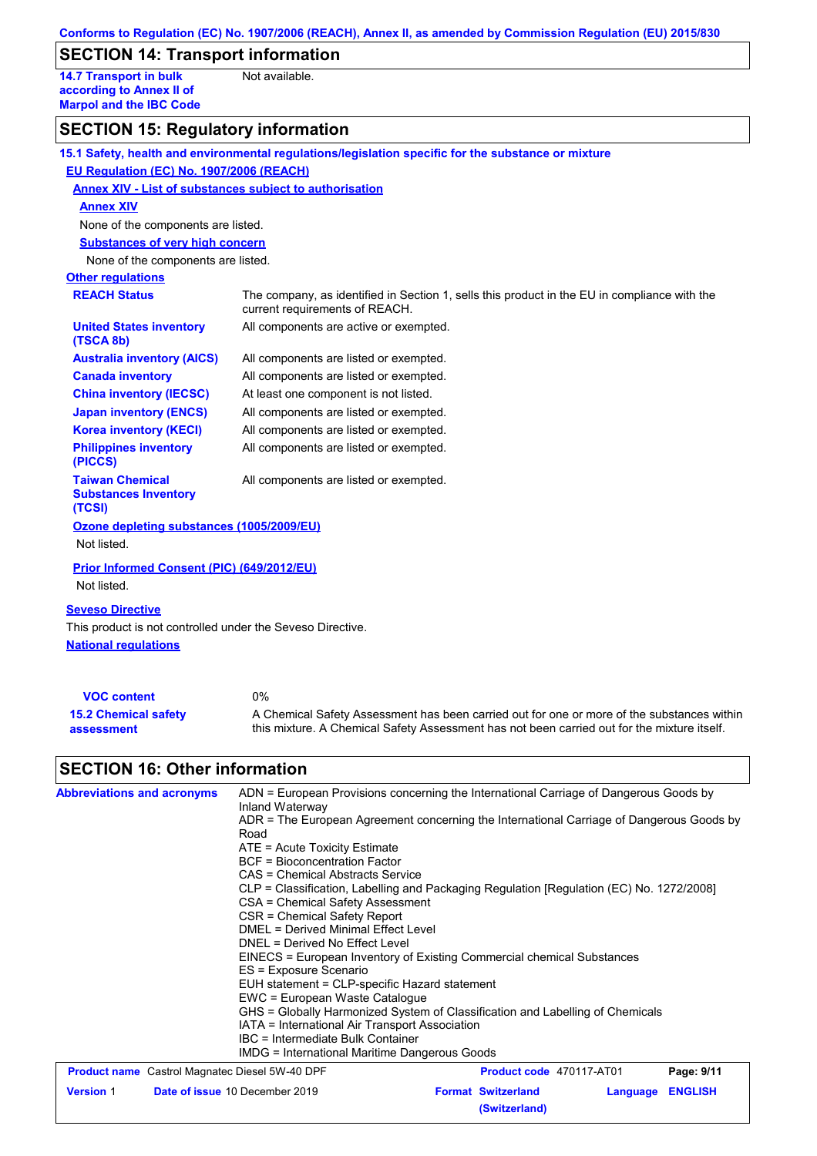# **SECTION 14: Transport information**

**14.7 Transport in bulk according to Annex II of Marpol and the IBC Code** Not available.

# **SECTION 15: Regulatory information**

|                                                                 | 15.1 Safety, health and environmental regulations/legislation specific for the substance or mixture                            |
|-----------------------------------------------------------------|--------------------------------------------------------------------------------------------------------------------------------|
| EU Regulation (EC) No. 1907/2006 (REACH)                        |                                                                                                                                |
| Annex XIV - List of substances subject to authorisation         |                                                                                                                                |
| <b>Annex XIV</b>                                                |                                                                                                                                |
| None of the components are listed.                              |                                                                                                                                |
| <b>Substances of very high concern</b>                          |                                                                                                                                |
| None of the components are listed.                              |                                                                                                                                |
| <b>Other regulations</b>                                        |                                                                                                                                |
| <b>REACH Status</b>                                             | The company, as identified in Section 1, sells this product in the EU in compliance with the<br>current requirements of REACH. |
| <b>United States inventory</b><br>(TSCA 8b)                     | All components are active or exempted.                                                                                         |
| <b>Australia inventory (AICS)</b>                               | All components are listed or exempted.                                                                                         |
| <b>Canada inventory</b>                                         | All components are listed or exempted.                                                                                         |
| <b>China inventory (IECSC)</b>                                  | At least one component is not listed.                                                                                          |
| <b>Japan inventory (ENCS)</b>                                   | All components are listed or exempted.                                                                                         |
| <b>Korea inventory (KECI)</b>                                   | All components are listed or exempted.                                                                                         |
| <b>Philippines inventory</b><br>(PICCS)                         | All components are listed or exempted.                                                                                         |
| <b>Taiwan Chemical</b><br><b>Substances Inventory</b><br>(TCSI) | All components are listed or exempted.                                                                                         |
| Ozone depleting substances (1005/2009/EU)                       |                                                                                                                                |
| Not listed.                                                     |                                                                                                                                |
| <b>Prior Informed Consent (PIC) (649/2012/EU)</b>               |                                                                                                                                |
| Not listed.                                                     |                                                                                                                                |
| <b>Seveso Directive</b>                                         |                                                                                                                                |
| This product is not controlled under the Seveso Directive.      |                                                                                                                                |
| <b>National requlations</b>                                     |                                                                                                                                |
|                                                                 |                                                                                                                                |
|                                                                 |                                                                                                                                |
| <b>VOC content</b>                                              | 0%                                                                                                                             |

| <b>VUC content</b>          | U%                                                                                          |
|-----------------------------|---------------------------------------------------------------------------------------------|
| <b>15.2 Chemical safety</b> | A Chemical Safety Assessment has been carried out for one or more of the substances within  |
| assessment                  | this mixture. A Chemical Safety Assessment has not been carried out for the mixture itself. |

# **SECTION 16: Other information**

| <b>Abbreviations and acronyms</b> | ADN = European Provisions concerning the International Carriage of Dangerous Goods by     |  |                           |                          |                |            |                                  |
|-----------------------------------|-------------------------------------------------------------------------------------------|--|---------------------------|--------------------------|----------------|------------|----------------------------------|
|                                   | Inland Waterway                                                                           |  |                           |                          |                |            |                                  |
|                                   | ADR = The European Agreement concerning the International Carriage of Dangerous Goods by  |  |                           |                          |                |            |                                  |
|                                   | Road                                                                                      |  |                           |                          |                |            |                                  |
|                                   | $ATE = Acute Toxicity Estimate$<br>BCF = Bioconcentration Factor                          |  |                           |                          |                |            |                                  |
|                                   |                                                                                           |  |                           |                          |                |            | CAS = Chemical Abstracts Service |
|                                   | CLP = Classification, Labelling and Packaging Regulation [Regulation (EC) No. 1272/2008]  |  |                           |                          |                |            |                                  |
|                                   | CSA = Chemical Safety Assessment<br>CSR = Chemical Safety Report                          |  |                           |                          |                |            |                                  |
|                                   | DMEL = Derived Minimal Effect Level                                                       |  |                           |                          |                |            |                                  |
|                                   | DNEL = Derived No Effect Level                                                            |  |                           |                          |                |            |                                  |
|                                   | EINECS = European Inventory of Existing Commercial chemical Substances                    |  |                           |                          |                |            |                                  |
|                                   | ES = Exposure Scenario<br>EUH statement = CLP-specific Hazard statement                   |  |                           |                          |                |            |                                  |
|                                   |                                                                                           |  |                           |                          |                |            |                                  |
|                                   | GHS = Globally Harmonized System of Classification and Labelling of Chemicals             |  |                           |                          |                |            |                                  |
|                                   | IATA = International Air Transport Association                                            |  |                           |                          |                |            |                                  |
|                                   | IBC = Intermediate Bulk Container<br><b>IMDG = International Maritime Dangerous Goods</b> |  |                           |                          |                |            |                                  |
|                                   |                                                                                           |  |                           |                          |                |            |                                  |
|                                   | <b>Product name</b> Castrol Magnatec Diesel 5W-40 DPF                                     |  |                           | Product code 470117-AT01 |                | Page: 9/11 |                                  |
| <b>Version 1</b>                  | Date of issue 10 December 2019                                                            |  | <b>Format Switzerland</b> | Language                 | <b>ENGLISH</b> |            |                                  |
|                                   |                                                                                           |  | (Switzerland)             |                          |                |            |                                  |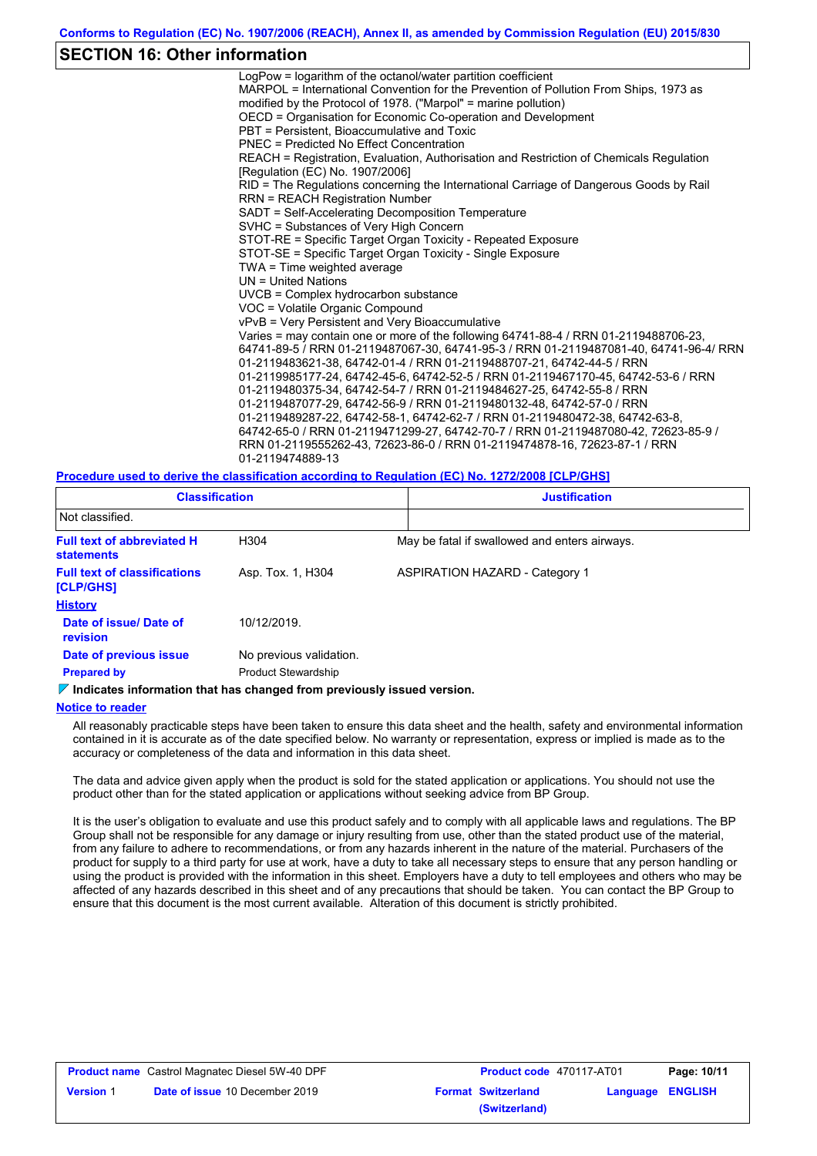### **SECTION 16: Other information**

LogPow = logarithm of the octanol/water partition coefficient MARPOL = International Convention for the Prevention of Pollution From Ships, 1973 as modified by the Protocol of 1978. ("Marpol" = marine pollution) OECD = Organisation for Economic Co-operation and Development PBT = Persistent, Bioaccumulative and Toxic PNEC = Predicted No Effect Concentration REACH = Registration, Evaluation, Authorisation and Restriction of Chemicals Regulation [Regulation (EC) No. 1907/2006] RID = The Regulations concerning the International Carriage of Dangerous Goods by Rail RRN = REACH Registration Number SADT = Self-Accelerating Decomposition Temperature SVHC = Substances of Very High Concern STOT-RE = Specific Target Organ Toxicity - Repeated Exposure STOT-SE = Specific Target Organ Toxicity - Single Exposure TWA = Time weighted average UN = United Nations UVCB = Complex hydrocarbon substance VOC = Volatile Organic Compound vPvB = Very Persistent and Very Bioaccumulative Varies = may contain one or more of the following 64741-88-4 / RRN 01-2119488706-23, 64741-89-5 / RRN 01-2119487067-30, 64741-95-3 / RRN 01-2119487081-40, 64741-96-4/ RRN 01-2119483621-38, 64742-01-4 / RRN 01-2119488707-21, 64742-44-5 / RRN 01-2119985177-24, 64742-45-6, 64742-52-5 / RRN 01-2119467170-45, 64742-53-6 / RRN 01-2119480375-34, 64742-54-7 / RRN 01-2119484627-25, 64742-55-8 / RRN 01-2119487077-29, 64742-56-9 / RRN 01-2119480132-48, 64742-57-0 / RRN 01-2119489287-22, 64742-58-1, 64742-62-7 / RRN 01-2119480472-38, 64742-63-8, 64742-65-0 / RRN 01-2119471299-27, 64742-70-7 / RRN 01-2119487080-42, 72623-85-9 / RRN 01-2119555262-43, 72623-86-0 / RRN 01-2119474878-16, 72623-87-1 / RRN 01-2119474889-13

**Procedure used to derive the classification according to Regulation (EC) No. 1272/2008 [CLP/GHS]**

| <b>Classification</b>                                  |                            | <b>Justification</b> |                                               |
|--------------------------------------------------------|----------------------------|----------------------|-----------------------------------------------|
| Not classified.                                        |                            |                      |                                               |
| <b>Full text of abbreviated H</b><br><b>statements</b> | H304                       |                      | May be fatal if swallowed and enters airways. |
| <b>Full text of classifications</b><br>[CLP/GHS]       | Asp. Tox. 1, H304          |                      | <b>ASPIRATION HAZARD - Category 1</b>         |
| <b>History</b>                                         |                            |                      |                                               |
| Date of issue/ Date of<br><b>revision</b>              | 10/12/2019.                |                      |                                               |
| Date of previous issue                                 | No previous validation.    |                      |                                               |
| <b>Prepared by</b>                                     | <b>Product Stewardship</b> |                      |                                               |

#### **Indicates information that has changed from previously issued version.**

#### **Notice to reader**

All reasonably practicable steps have been taken to ensure this data sheet and the health, safety and environmental information contained in it is accurate as of the date specified below. No warranty or representation, express or implied is made as to the accuracy or completeness of the data and information in this data sheet.

The data and advice given apply when the product is sold for the stated application or applications. You should not use the product other than for the stated application or applications without seeking advice from BP Group.

It is the user's obligation to evaluate and use this product safely and to comply with all applicable laws and regulations. The BP Group shall not be responsible for any damage or injury resulting from use, other than the stated product use of the material, from any failure to adhere to recommendations, or from any hazards inherent in the nature of the material. Purchasers of the product for supply to a third party for use at work, have a duty to take all necessary steps to ensure that any person handling or using the product is provided with the information in this sheet. Employers have a duty to tell employees and others who may be affected of any hazards described in this sheet and of any precautions that should be taken. You can contact the BP Group to ensure that this document is the most current available. Alteration of this document is strictly prohibited.